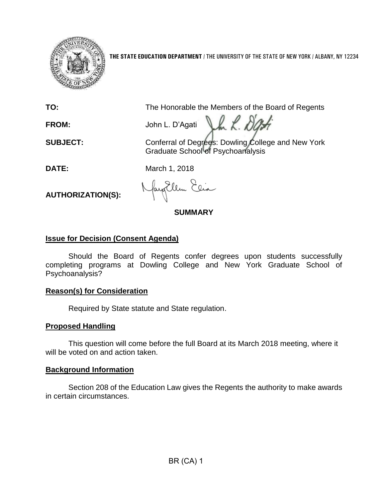

**THE STATE EDUCATION DEPARTMENT** / THE UNIVERSITY OF THE STATE OF NEW YORK / ALBANY, NY 12234

**TO:** The Honorable the Members of the Board of Regents

Val. D **FROM:** John L. D'Agati

**SUBJECT:** Conferral of Degrees: Dowling College and New York Graduate School of Psychoanalysis

**DATE:** March 1, 2018

**AUTHORIZATION(S):**

Ellen Elia

**SUMMARY**

# **Issue for Decision (Consent Agenda)**

Should the Board of Regents confer degrees upon students successfully completing programs at Dowling College and New York Graduate School of Psychoanalysis?

## **Reason(s) for Consideration**

Required by State statute and State regulation.

# **Proposed Handling**

This question will come before the full Board at its March 2018 meeting, where it will be voted on and action taken.

# **Background Information**

Section 208 of the Education Law gives the Regents the authority to make awards in certain circumstances.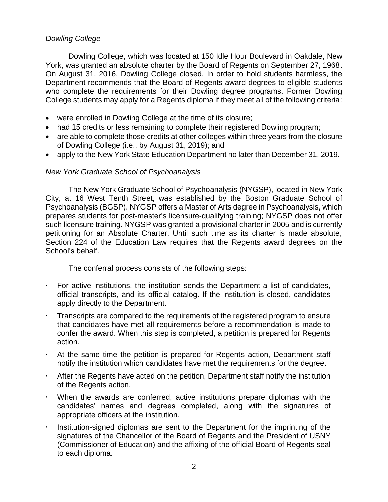### *Dowling College*

Dowling College, which was located at 150 Idle Hour Boulevard in Oakdale, New York, was granted an absolute charter by the Board of Regents on September 27, 1968. On August 31, 2016, Dowling College closed. In order to hold students harmless, the Department recommends that the Board of Regents award degrees to eligible students who complete the requirements for their Dowling degree programs. Former Dowling College students may apply for a Regents diploma if they meet all of the following criteria:

- were enrolled in Dowling College at the time of its closure;
- had 15 credits or less remaining to complete their registered Dowling program;
- are able to complete those credits at other colleges within three years from the closure of Dowling College (i.e., by August 31, 2019); and
- apply to the New York State Education Department no later than December 31, 2019.

### *New York Graduate School of Psychoanalysis*

The New York Graduate School of Psychoanalysis (NYGSP), located in New York City, at 16 West Tenth Street, was established by the Boston Graduate School of Psychoanalysis (BGSP). NYGSP offers a Master of Arts degree in Psychoanalysis, which prepares students for post-master's licensure-qualifying training; NYGSP does not offer such licensure training. NYGSP was granted a provisional charter in 2005 and is currently petitioning for an Absolute Charter. Until such time as its charter is made absolute, Section 224 of the Education Law requires that the Regents award degrees on the School's behalf.

The conferral process consists of the following steps:

- For active institutions, the institution sends the Department a list of candidates, official transcripts, and its official catalog. If the institution is closed, candidates apply directly to the Department.
- Transcripts are compared to the requirements of the registered program to ensure that candidates have met all requirements before a recommendation is made to confer the award. When this step is completed, a petition is prepared for Regents action.
- At the same time the petition is prepared for Regents action, Department staff notify the institution which candidates have met the requirements for the degree.
- After the Regents have acted on the petition, Department staff notify the institution of the Regents action.
- When the awards are conferred, active institutions prepare diplomas with the candidates' names and degrees completed, along with the signatures of appropriate officers at the institution.
- Institution-signed diplomas are sent to the Department for the imprinting of the signatures of the Chancellor of the Board of Regents and the President of USNY (Commissioner of Education) and the affixing of the official Board of Regents seal to each diploma.